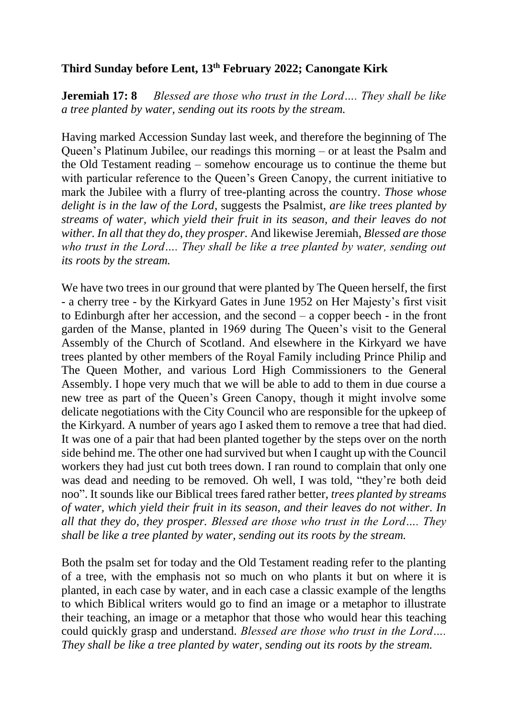## **Third Sunday before Lent, 13 th February 2022; Canongate Kirk**

**Jeremiah 17: 8** *Blessed are those who trust in the Lord…. They shall be like a tree planted by water, sending out its roots by the stream.*

Having marked Accession Sunday last week, and therefore the beginning of The Queen's Platinum Jubilee, our readings this morning – or at least the Psalm and the Old Testament reading – somehow encourage us to continue the theme but with particular reference to the Queen's Green Canopy, the current initiative to mark the Jubilee with a flurry of tree-planting across the country. *Those whose delight is in the law of the Lord*, suggests the Psalmist, *are like trees planted by streams of water, which yield their fruit in its season, and their leaves do not wither. In all that they do, they prosper.* And likewise Jeremiah, *Blessed are those who trust in the Lord…. They shall be like a tree planted by water, sending out its roots by the stream.*

We have two trees in our ground that were planted by The Queen herself, the first - a cherry tree - by the Kirkyard Gates in June 1952 on Her Majesty's first visit to Edinburgh after her accession, and the second – a copper beech - in the front garden of the Manse, planted in 1969 during The Queen's visit to the General Assembly of the Church of Scotland. And elsewhere in the Kirkyard we have trees planted by other members of the Royal Family including Prince Philip and The Queen Mother, and various Lord High Commissioners to the General Assembly. I hope very much that we will be able to add to them in due course a new tree as part of the Queen's Green Canopy, though it might involve some delicate negotiations with the City Council who are responsible for the upkeep of the Kirkyard. A number of years ago I asked them to remove a tree that had died. It was one of a pair that had been planted together by the steps over on the north side behind me. The other one had survived but when I caught up with the Council workers they had just cut both trees down. I ran round to complain that only one was dead and needing to be removed. Oh well, I was told, "they're both deid noo". It sounds like our Biblical trees fared rather better, *trees planted by streams of water, which yield their fruit in its season, and their leaves do not wither. In all that they do, they prosper. Blessed are those who trust in the Lord…. They shall be like a tree planted by water, sending out its roots by the stream.*

Both the psalm set for today and the Old Testament reading refer to the planting of a tree, with the emphasis not so much on who plants it but on where it is planted, in each case by water, and in each case a classic example of the lengths to which Biblical writers would go to find an image or a metaphor to illustrate their teaching, an image or a metaphor that those who would hear this teaching could quickly grasp and understand. *Blessed are those who trust in the Lord…. They shall be like a tree planted by water, sending out its roots by the stream.*